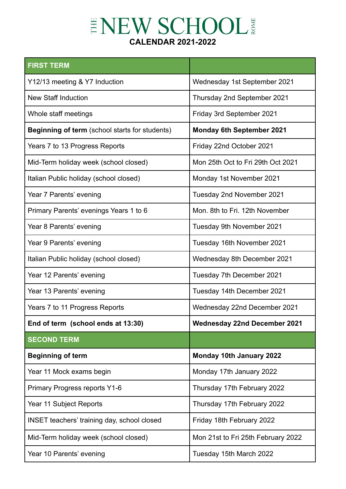## ENEW SCHOOL **CALENDAR 2021-2022**

| <b>FIRST TERM</b>                                     |                                     |
|-------------------------------------------------------|-------------------------------------|
| Y12/13 meeting & Y7 Induction                         | Wednesday 1st September 2021        |
| <b>New Staff Induction</b>                            | Thursday 2nd September 2021         |
| Whole staff meetings                                  | Friday 3rd September 2021           |
| <b>Beginning of term</b> (school starts for students) | <b>Monday 6th September 2021</b>    |
| Years 7 to 13 Progress Reports                        | Friday 22nd October 2021            |
| Mid-Term holiday week (school closed)                 | Mon 25th Oct to Fri 29th Oct 2021   |
| Italian Public holiday (school closed)                | Monday 1st November 2021            |
| Year 7 Parents' evening                               | Tuesday 2nd November 2021           |
| Primary Parents' evenings Years 1 to 6                | Mon. 8th to Fri. 12th November      |
| Year 8 Parents' evening                               | Tuesday 9th November 2021           |
| Year 9 Parents' evening                               | Tuesday 16th November 2021          |
| Italian Public holiday (school closed)                | Wednesday 8th December 2021         |
| Year 12 Parents' evening                              | Tuesday 7th December 2021           |
| Year 13 Parents' evening                              | Tuesday 14th December 2021          |
| Years 7 to 11 Progress Reports                        | Wednesday 22nd December 2021        |
| End of term (school ends at 13:30)                    | <b>Wednesday 22nd December 2021</b> |
| <b>SECOND TERM</b>                                    |                                     |
| <b>Beginning of term</b>                              | Monday 10th January 2022            |
| Year 11 Mock exams begin                              | Monday 17th January 2022            |
| <b>Primary Progress reports Y1-6</b>                  | Thursday 17th February 2022         |
| Year 11 Subject Reports                               | Thursday 17th February 2022         |
| <b>INSET teachers' training day, school closed</b>    | Friday 18th February 2022           |
| Mid-Term holiday week (school closed)                 | Mon 21st to Fri 25th February 2022  |
| Year 10 Parents' evening                              | Tuesday 15th March 2022             |